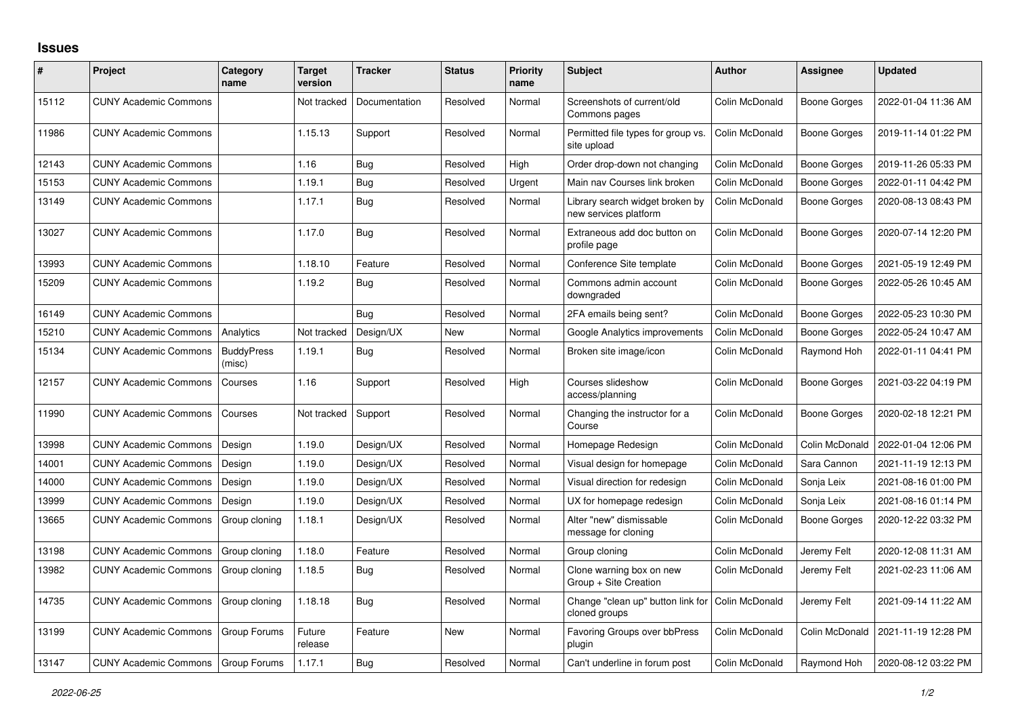## **Issues**

| ∦     | Project                      | Category<br>name            | <b>Target</b><br>version | <b>Tracker</b> | <b>Status</b> | Priority<br>name | <b>Subject</b>                                           | Author         | Assignee            | <b>Updated</b>      |
|-------|------------------------------|-----------------------------|--------------------------|----------------|---------------|------------------|----------------------------------------------------------|----------------|---------------------|---------------------|
| 15112 | <b>CUNY Academic Commons</b> |                             | Not tracked              | Documentation  | Resolved      | Normal           | Screenshots of current/old<br>Commons pages              | Colin McDonald | <b>Boone Gorges</b> | 2022-01-04 11:36 AM |
| 11986 | <b>CUNY Academic Commons</b> |                             | 1.15.13                  | Support        | Resolved      | Normal           | Permitted file types for group vs.<br>site upload        | Colin McDonald | <b>Boone Gorges</b> | 2019-11-14 01:22 PM |
| 12143 | <b>CUNY Academic Commons</b> |                             | 1.16                     | Bug            | Resolved      | High             | Order drop-down not changing                             | Colin McDonald | <b>Boone Gorges</b> | 2019-11-26 05:33 PM |
| 15153 | <b>CUNY Academic Commons</b> |                             | 1.19.1                   | <b>Bug</b>     | Resolved      | Urgent           | Main nav Courses link broken                             | Colin McDonald | Boone Gorges        | 2022-01-11 04:42 PM |
| 13149 | <b>CUNY Academic Commons</b> |                             | 1.17.1                   | <b>Bug</b>     | Resolved      | Normal           | Library search widget broken by<br>new services platform | Colin McDonald | <b>Boone Gorges</b> | 2020-08-13 08:43 PM |
| 13027 | <b>CUNY Academic Commons</b> |                             | 1.17.0                   | Bug            | Resolved      | Normal           | Extraneous add doc button on<br>profile page             | Colin McDonald | <b>Boone Gorges</b> | 2020-07-14 12:20 PM |
| 13993 | <b>CUNY Academic Commons</b> |                             | 1.18.10                  | Feature        | Resolved      | Normal           | Conference Site template                                 | Colin McDonald | <b>Boone Gorges</b> | 2021-05-19 12:49 PM |
| 15209 | <b>CUNY Academic Commons</b> |                             | 1.19.2                   | Bug            | Resolved      | Normal           | Commons admin account<br>downgraded                      | Colin McDonald | <b>Boone Gorges</b> | 2022-05-26 10:45 AM |
| 16149 | <b>CUNY Academic Commons</b> |                             |                          | Bug            | Resolved      | Normal           | 2FA emails being sent?                                   | Colin McDonald | <b>Boone Gorges</b> | 2022-05-23 10:30 PM |
| 15210 | <b>CUNY Academic Commons</b> | Analytics                   | Not tracked              | Design/UX      | <b>New</b>    | Normal           | Google Analytics improvements                            | Colin McDonald | <b>Boone Gorges</b> | 2022-05-24 10:47 AM |
| 15134 | <b>CUNY Academic Commons</b> | <b>BuddyPress</b><br>(misc) | 1.19.1                   | Bug            | Resolved      | Normal           | Broken site image/icon                                   | Colin McDonald | Raymond Hoh         | 2022-01-11 04:41 PM |
| 12157 | <b>CUNY Academic Commons</b> | Courses                     | 1.16                     | Support        | Resolved      | High             | Courses slideshow<br>access/planning                     | Colin McDonald | Boone Gorges        | 2021-03-22 04:19 PM |
| 11990 | <b>CUNY Academic Commons</b> | Courses                     | Not tracked              | Support        | Resolved      | Normal           | Changing the instructor for a<br>Course                  | Colin McDonald | <b>Boone Gorges</b> | 2020-02-18 12:21 PM |
| 13998 | <b>CUNY Academic Commons</b> | Design                      | 1.19.0                   | Design/UX      | Resolved      | Normal           | Homepage Redesign                                        | Colin McDonald | Colin McDonald      | 2022-01-04 12:06 PM |
| 14001 | <b>CUNY Academic Commons</b> | Design                      | 1.19.0                   | Design/UX      | Resolved      | Normal           | Visual design for homepage                               | Colin McDonald | Sara Cannon         | 2021-11-19 12:13 PM |
| 14000 | <b>CUNY Academic Commons</b> | Design                      | 1.19.0                   | Design/UX      | Resolved      | Normal           | Visual direction for redesign                            | Colin McDonald | Sonja Leix          | 2021-08-16 01:00 PM |
| 13999 | <b>CUNY Academic Commons</b> | Design                      | 1.19.0                   | Design/UX      | Resolved      | Normal           | UX for homepage redesign                                 | Colin McDonald | Sonja Leix          | 2021-08-16 01:14 PM |
| 13665 | <b>CUNY Academic Commons</b> | Group cloning               | 1.18.1                   | Design/UX      | Resolved      | Normal           | Alter "new" dismissable<br>message for cloning           | Colin McDonald | Boone Gorges        | 2020-12-22 03:32 PM |
| 13198 | <b>CUNY Academic Commons</b> | Group cloning               | 1.18.0                   | Feature        | Resolved      | Normal           | Group cloning                                            | Colin McDonald | Jeremy Felt         | 2020-12-08 11:31 AM |
| 13982 | <b>CUNY Academic Commons</b> | Group cloning               | 1.18.5                   | Bug            | Resolved      | Normal           | Clone warning box on new<br>Group + Site Creation        | Colin McDonald | Jeremy Felt         | 2021-02-23 11:06 AM |
| 14735 | <b>CUNY Academic Commons</b> | Group cloning               | 1.18.18                  | <b>Bug</b>     | Resolved      | Normal           | Change "clean up" button link for<br>cloned groups       | Colin McDonald | Jeremy Felt         | 2021-09-14 11:22 AM |
| 13199 | <b>CUNY Academic Commons</b> | Group Forums                | Future<br>release        | Feature        | <b>New</b>    | Normal           | Favoring Groups over bbPress<br>plugin                   | Colin McDonald | Colin McDonald      | 2021-11-19 12:28 PM |
| 13147 | <b>CUNY Academic Commons</b> | Group Forums                | 1.17.1                   | <b>Bug</b>     | Resolved      | Normal           | Can't underline in forum post                            | Colin McDonald | Raymond Hoh         | 2020-08-12 03:22 PM |